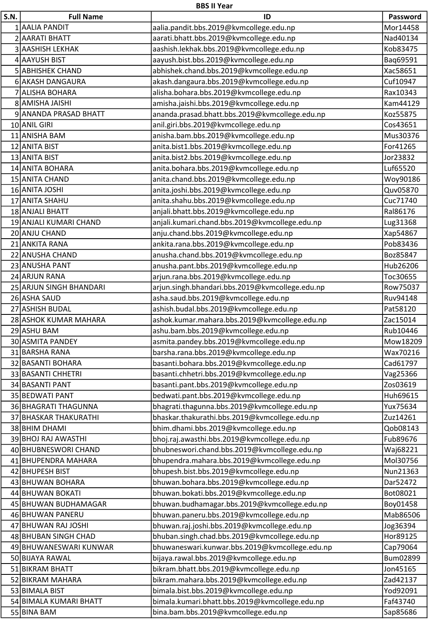## BBS II Year

| <b>S.N.</b> | <b>Full Name</b>        | ID                                              | Password |
|-------------|-------------------------|-------------------------------------------------|----------|
|             | 1 AALIA PANDIT          | aalia.pandit.bbs.2019@kvmcollege.edu.np         | Mor14458 |
|             | 2 AARATI BHATT          | aarati.bhatt.bbs.2019@kvmcollege.edu.np         | Nad40134 |
|             | 3 AASHISH LEKHAK        | aashish.lekhak.bbs.2019@kvmcollege.edu.np       | Kob83475 |
|             | 4 AAYUSH BIST           | aayush.bist.bbs.2019@kvmcollege.edu.np          | Baq69591 |
|             | 5 ABHISHEK CHAND        | abhishek.chand.bbs.2019@kvmcollege.edu.np       | Xac58651 |
|             | 6 AKASH DANGAURA        | akash.dangaura.bbs.2019@kvmcollege.edu.np       | Cuf10947 |
|             | <b>7 ALISHA BOHARA</b>  | alisha.bohara.bbs.2019@kvmcollege.edu.np        | Rax10343 |
|             | 8 AMISHA JAISHI         | amisha.jaishi.bbs.2019@kvmcollege.edu.np        | Kam44129 |
|             | 9 ANANDA PRASAD BHATT   | ananda.prasad.bhatt.bbs.2019@kvmcollege.edu.np  | Koz55875 |
|             | 10 ANIL GIRI            | anil.giri.bbs.2019@kvmcollege.edu.np            | Cos43651 |
|             | 11 ANISHA BAM           | anisha.bam.bbs.2019@kvmcollege.edu.np           | Mus30376 |
|             | 12 ANITA BIST           | anita.bist1.bbs.2019@kvmcollege.edu.np          | For41265 |
|             | 13 ANITA BIST           | anita.bist2.bbs.2019@kvmcollege.edu.np          | Jor23832 |
|             | 14 ANITA BOHARA         | anita.bohara.bbs.2019@kvmcollege.edu.np         | Luf65520 |
|             | 15 ANITA CHAND          | anita.chand.bbs.2019@kvmcollege.edu.np          | Woy90186 |
|             | 16 ANITA JOSHI          | anita.joshi.bbs.2019@kvmcollege.edu.np          | Quv05870 |
|             | 17 ANITA SHAHU          | anita.shahu.bbs.2019@kvmcollege.edu.np          | Cuc71740 |
|             | 18 ANJALI BHATT         | anjali.bhatt.bbs.2019@kvmcollege.edu.np         | Ral86176 |
|             | 19 ANJALI KUMARI CHAND  | anjali.kumari.chand.bbs.2019@kvmcollege.edu.np  | Lug31368 |
|             | 20 ANJU CHAND           | anju.chand.bbs.2019@kvmcollege.edu.np           | Xap54867 |
|             | 21 ANKITA RANA          | ankita.rana.bbs.2019@kvmcollege.edu.np          | Pob83436 |
|             | 22 ANUSHA CHAND         | anusha.chand.bbs.2019@kvmcollege.edu.np         | Boz85847 |
|             | 23 ANUSHA PANT          | anusha.pant.bbs.2019@kvmcollege.edu.np          | Hub26206 |
|             | 24 ARJUN RANA           | arjun.rana.bbs.2019@kvmcollege.edu.np           | Toc30655 |
|             | 25 ARJUN SINGH BHANDARI | arjun.singh.bhandari.bbs.2019@kvmcollege.edu.np | Row75037 |
|             | 26 ASHA SAUD            | asha.saud.bbs.2019@kvmcollege.edu.np            | Ruv94148 |
|             | 27 ASHISH BUDAL         | ashish.budal.bbs.2019@kvmcollege.edu.np         | Pat58120 |
|             | 28 ASHOK KUMAR MAHARA   | ashok.kumar.mahara.bbs.2019@kvmcollege.edu.np   | Zac15014 |
|             | 29 ASHU BAM             | ashu.bam.bbs.2019@kvmcollege.edu.np             | Rub10446 |
|             | 30 ASMITA PANDEY        | asmita.pandey.bbs.2019@kvmcollege.edu.np        | Mow18209 |
|             | 31 BARSHA RANA          | barsha.rana.bbs.2019@kvmcollege.edu.np          | Wax70216 |
|             | 32 BASANTI BOHARA       | basanti.bohara.bbs.2019@kvmcollege.edu.np       | Cad61797 |
|             | 33 BASANTI CHHETRI      | basanti.chhetri.bbs.2019@kvmcollege.edu.np      | Vag25366 |
|             | 34 BASANTI PANT         | basanti.pant.bbs.2019@kvmcollege.edu.np         | Zos03619 |
|             | 35 BEDWATI PANT         | bedwati.pant.bbs.2019@kvmcollege.edu.np         | Huh69615 |
|             | 36 BHAGRATI THAGUNNA    | bhagrati.thagunna.bbs.2019@kvmcollege.edu.np    | Yux75634 |
|             | 37 BHASKAR THAKURATHI   | bhaskar.thakurathi.bbs.2019@kvmcollege.edu.np   | Zuz14261 |
|             | 38 BHIM DHAMI           | bhim.dhami.bbs.2019@kvmcollege.edu.np           | Qob08143 |
|             | 39 BHOJ RAJ AWASTHI     | bhoj.raj.awasthi.bbs.2019@kvmcollege.edu.np     | Fub89676 |
|             | 40 BHUBNESWORI CHAND    | bhubneswori.chand.bbs.2019@kvmcollege.edu.np    | Waj68221 |
|             | 41 BHUPENDRA MAHARA     | bhupendra.mahara.bbs.2019@kvmcollege.edu.np     | Mol30756 |
|             | 42 BHUPESH BIST         | bhupesh.bist.bbs.2019@kvmcollege.edu.np         | Nun21363 |
|             | 43 BHUWAN BOHARA        | bhuwan.bohara.bbs.2019@kvmcollege.edu.np        | Dar52472 |
|             | 44 BHUWAN BOKATI        | bhuwan.bokati.bbs.2019@kvmcollege.edu.np        | Bot08021 |
|             | 45 BHUWAN BUDHAMAGAR    | bhuwan.budhamagar.bbs.2019@kvmcollege.edu.np    | Boy01458 |
|             | 46 BHUWAN PANERU        | bhuwan.paneru.bbs.2019@kvmcollege.edu.np        | Mab86506 |
|             | 47 BHUWAN RAJ JOSHI     | bhuwan.raj.joshi.bbs.2019@kvmcollege.edu.np     | Jog36394 |
|             | 48 BHUBAN SINGH CHAD    | bhuban.singh.chad.bbs.2019@kvmcollege.edu.np    | Hor89125 |
|             | 49 BHUWANESWARI KUNWAR  | bhuwaneswari.kunwar.bbs.2019@kvmcollege.edu.np  | Cap79064 |
|             | 50 BIJAYA RAWAL         | bijaya.rawal.bbs.2019@kvmcollege.edu.np         | Bum02899 |
|             | 51 BIKRAM BHATT         | bikram.bhatt.bbs.2019@kvmcollege.edu.np         | Jon45165 |
|             | 52 BIKRAM MAHARA        | bikram.mahara.bbs.2019@kvmcollege.edu.np        | Zad42137 |
|             | 53 BIMALA BIST          | bimala.bist.bbs.2019@kvmcollege.edu.np          | Yod92091 |
|             | 54 BIMALA KUMARI BHATT  | bimala.kumari.bhatt.bbs.2019@kvmcollege.edu.np  | Faf43740 |
|             | 55 BINA BAM             | bina.bam.bbs.2019@kvmcollege.edu.np             | Sap85686 |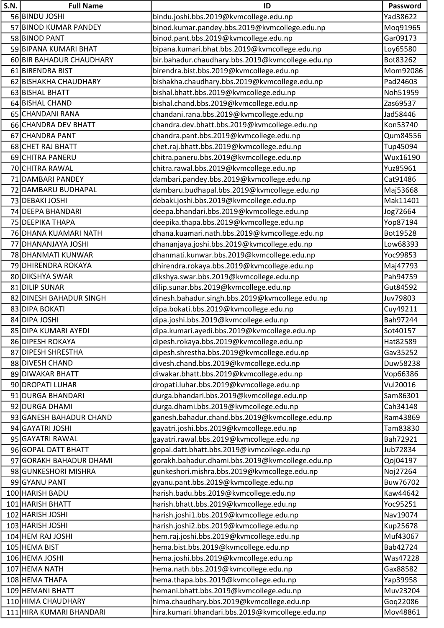| <b>S.N.</b> | <b>Full Name</b>            | ID                                               | Password |
|-------------|-----------------------------|--------------------------------------------------|----------|
|             | 56 BINDU JOSHI              | bindu.joshi.bbs.2019@kvmcollege.edu.np           | Yad38622 |
|             | 57 BINOD KUMAR PANDEY       | binod.kumar.pandey.bbs.2019@kvmcollege.edu.np    | Moq91965 |
|             | 58 BINOD PANT               | binod.pant.bbs.2019@kvmcollege.edu.np            | Gar09173 |
|             | 59 BIPANA KUMARI BHAT       | bipana.kumari.bhat.bbs.2019@kvmcollege.edu.np    | Loy65580 |
|             | 60 BIR BAHADUR CHAUDHARY    | bir.bahadur.chaudhary.bbs.2019@kvmcollege.edu.np | Bot83262 |
|             | 61 BIRENDRA BIST            | birendra.bist.bbs.2019@kvmcollege.edu.np         | Mom92086 |
|             | 62 BISHAKHA CHAUDHARY       | bishakha.chaudhary.bbs.2019@kvmcollege.edu.np    | Pad24603 |
|             | 63 BISHAL BHATT             | bishal.bhatt.bbs.2019@kvmcollege.edu.np          | Noh51959 |
|             | 64 BISHAL CHAND             | bishal.chand.bbs.2019@kvmcollege.edu.np          | Zas69537 |
|             | 65 CHANDANI RANA            | chandani.rana.bbs.2019@kvmcollege.edu.np         | Jad58446 |
|             | 66 CHANDRA DEV BHATT        | chandra.dev.bhatt.bbs.2019@kvmcollege.edu.np     | Kon53740 |
| 67          | <b>CHANDRA PANT</b>         | chandra.pant.bbs.2019@kvmcollege.edu.np          | Qum84556 |
|             | 68 CHET RAJ BHATT           | chet.raj.bhatt.bbs.2019@kvmcollege.edu.np        | Tup45094 |
|             | 69 CHITRA PANERU            | chitra.paneru.bbs.2019@kvmcollege.edu.np         | Wux16190 |
|             | 70 CHITRA RAWAL             | chitra.rawal.bbs.2019@kvmcollege.edu.np          | Yuz85961 |
|             | 71 DAMBARI PANDEY           | dambari.pandey.bbs.2019@kvmcollege.edu.np        | Cat91486 |
|             | 72 DAMBARU BUDHAPAL         | dambaru.budhapal.bbs.2019@kvmcollege.edu.np      | Maj53668 |
|             | 73 DEBAKI JOSHI             | debaki.joshi.bbs.2019@kvmcollege.edu.np          | Mak11401 |
|             | 74 DEEPA BHANDARI           | deepa.bhandari.bbs.2019@kvmcollege.edu.np        | Jog72664 |
|             | 75 DEEPIKA THAPA            | deepika.thapa.bbs.2019@kvmcollege.edu.np         | Yop87194 |
|             | 76 DHANA KUAMARI NATH       | dhana.kuamari.nath.bbs.2019@kvmcollege.edu.np    | Bot19528 |
| 77          | <b>DHANANJAYA JOSHI</b>     | dhananjaya.joshi.bbs.2019@kvmcollege.edu.np      | Low68393 |
|             | 78 DHANMATI KUNWAR          | dhanmati.kunwar.bbs.2019@kvmcollege.edu.np       | Yoc99853 |
|             | 79 DHIRENDRA ROKAYA         | dhirendra.rokaya.bbs.2019@kvmcollege.edu.np      | Maj47793 |
|             | 80 DIKSHYA SWAR             | dikshya.swar.bbs.2019@kvmcollege.edu.np          | Pah94759 |
|             | 81 DILIP SUNAR              | dilip.sunar.bbs.2019@kvmcollege.edu.np           | Gut84592 |
| 82          | <b>DINESH BAHADUR SINGH</b> | dinesh.bahadur.singh.bbs.2019@kvmcollege.edu.np  | Juv79803 |
|             | 83 DIPA BOKATI              | dipa.bokati.bbs.2019@kvmcollege.edu.np           | Cuy49211 |
|             | 84 DIPA JOSHI               | dipa.joshi.bbs.2019@kvmcollege.edu.np            | Bah97244 |
|             | 85 DIPA KUMARI AYEDI        | dipa.kumari.ayedi.bbs.2019@kvmcollege.edu.np     | Sot40157 |
|             | 86 DIPESH ROKAYA            | dipesh.rokaya.bbs.2019@kvmcollege.edu.np         | Hat82589 |
|             | 87 DIPESH SHRESTHA          | dipesh.shrestha.bbs.2019@kvmcollege.edu.np       | Gav35252 |
|             | 88 DIVESH CHAND             | divesh.chand.bbs.2019@kvmcollege.edu.np          | Duw58238 |
|             | 89 DIWAKAR BHATT            | diwakar.bhatt.bbs.2019@kvmcollege.edu.np         | Vop66386 |
|             | 90 DROPATI LUHAR            | dropati.luhar.bbs.2019@kvmcollege.edu.np         | Vul20016 |
|             | 91 DURGA BHANDARI           | durga.bhandari.bbs.2019@kvmcollege.edu.np        | Sam86301 |
|             | 92 DURGA DHAMI              | durga.dhami.bbs.2019@kvmcollege.edu.np           | Cah34148 |
|             | 93 GANESH BAHADUR CHAND     | ganesh.bahadur.chand.bbs.2019@kvmcollege.edu.np  | Ram43869 |
|             | 94 GAYATRI JOSHI            | gayatri.joshi.bbs.2019@kvmcollege.edu.np         | Tam83830 |
|             | 95 GAYATRI RAWAL            | gayatri.rawal.bbs.2019@kvmcollege.edu.np         | Bah72921 |
|             | 96 GOPAL DATT BHATT         | gopal.datt.bhatt.bbs.2019@kvmcollege.edu.np      | Jub72834 |
|             | 97 GORAKH BAHADUR DHAMI     | gorakh.bahadur.dhami.bbs.2019@kvmcollege.edu.np  | Qoj04197 |
|             | 98 GUNKESHORI MISHRA        | gunkeshori.mishra.bbs.2019@kvmcollege.edu.np     | Noj27264 |
|             | 99 GYANU PANT               | gyanu.pant.bbs.2019@kvmcollege.edu.np            | Buw76702 |
|             | 100 HARISH BADU             | harish.badu.bbs.2019@kvmcollege.edu.np           | Kaw44642 |
|             | 101 HARISH BHATT            | harish.bhatt.bbs.2019@kvmcollege.edu.np          | Yoc95251 |
|             | 102 HARISH JOSHI            | harish.joshi1.bbs.2019@kvmcollege.edu.np         | Nav19074 |
|             | 103 HARISH JOSHI            | harish.joshi2.bbs.2019@kvmcollege.edu.np         | Kup25678 |
|             | 104 HEM RAJ JOSHI           | hem.raj.joshi.bbs.2019@kvmcollege.edu.np         | Muf43067 |
|             | 105 HEMA BIST               | hema.bist.bbs.2019@kvmcollege.edu.np             | Bab42724 |
|             | 106 HEMA JOSHI              | hema.joshi.bbs.2019@kvmcollege.edu.np            | Was47228 |
|             | 107 HEMA NATH               | hema.nath.bbs.2019@kvmcollege.edu.np             | Gax88582 |
|             | 108 HEMA THAPA              | hema.thapa.bbs.2019@kvmcollege.edu.np            | Yap39958 |
|             | 109 HEMANI BHATT            | hemani.bhatt.bbs.2019@kvmcollege.edu.np          | Muv23204 |
|             | 110 HIMA CHAUDHARY          | hima.chaudhary.bbs.2019@kvmcollege.edu.np        | Goq22086 |
|             | 111 HIRA KUMARI BHANDARI    | hira.kumari.bhandari.bbs.2019@kvmcollege.edu.np  | Mov48861 |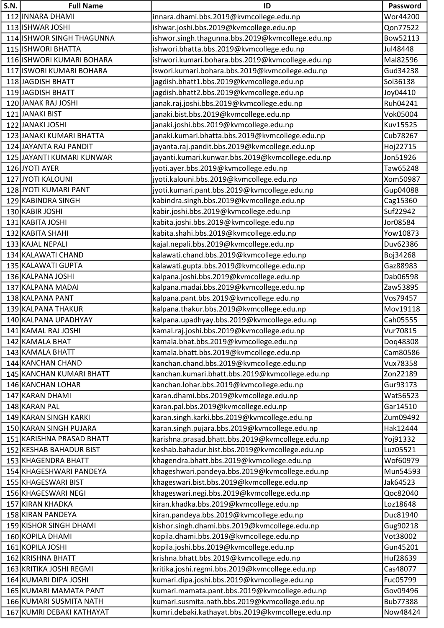| <b>S.N.</b> | <b>Full Name</b>          | ID                                               | Password |
|-------------|---------------------------|--------------------------------------------------|----------|
|             | 112 INNARA DHAMI          | innara.dhami.bbs.2019@kvmcollege.edu.np          | Wor44200 |
|             | 113 ISHWAR JOSHI          | ishwar.joshi.bbs.2019@kvmcollege.edu.np          | Qon77522 |
|             | 114 ISHWOR SINGH THAGUNNA | ishwor.singh.thagunna.bbs.2019@kvmcollege.edu.np | Bow52113 |
|             | 115 ISHWORI BHATTA        | ishwori.bhatta.bbs.2019@kvmcollege.edu.np        | Jul48448 |
|             | 116 ISHWORI KUMARI BOHARA | ishwori.kumari.bohara.bbs.2019@kvmcollege.edu.np | Mal82596 |
|             | 117 ISWORI KUMARI BOHARA  | iswori.kumari.bohara.bbs.2019@kvmcollege.edu.np  | Gud34238 |
|             | 118 JAGDISH BHATT         | jagdish.bhatt1.bbs.2019@kvmcollege.edu.np        | Sol36138 |
|             | 119 JAGDISH BHATT         | jagdish.bhatt2.bbs.2019@kvmcollege.edu.np        | Joy04410 |
|             | 120 JANAK RAJ JOSHI       | janak.raj.joshi.bbs.2019@kvmcollege.edu.np       | Ruh04241 |
|             | 121 JANAKI BIST           | janaki.bist.bbs.2019@kvmcollege.edu.np           | Vok05004 |
|             | 122 JANAKI JOSHI          | janaki.joshi.bbs.2019@kvmcollege.edu.np          | Kuv15525 |
|             | 123 JANAKI KUMARI BHATTA  | janaki.kumari.bhatta.bbs.2019@kvmcollege.edu.np  | Cub78267 |
|             | 124 JAYANTA RAJ PANDIT    | jayanta.raj.pandit.bbs.2019@kvmcollege.edu.np    | Hoj22715 |
|             | 125 JAYANTI KUMARI KUNWAR | jayanti.kumari.kunwar.bbs.2019@kvmcollege.edu.np | Jon51926 |
|             | 126 JYOTI AYER            | jyoti.ayer.bbs.2019@kvmcollege.edu.np            | Taw65248 |
|             | 127 JYOTI KALOUNI         | jyoti.kalouni.bbs.2019@kvmcollege.edu.np         | Xom50987 |
|             | 128 JYOTI KUMARI PANT     | jyoti.kumari.pant.bbs.2019@kvmcollege.edu.np     | Gup04088 |
|             | 129 KABINDRA SINGH        | kabindra.singh.bbs.2019@kvmcollege.edu.np        | Cag15360 |
|             | 130 KABIR JOSHI           | kabir.joshi.bbs.2019@kvmcollege.edu.np           | Suf22942 |
|             | 131 KABITA JOSHI          | kabita.joshi.bbs.2019@kvmcollege.edu.np          | Jor08584 |
|             | 132 KABITA SHAHI          | kabita.shahi.bbs.2019@kvmcollege.edu.np          | Yow10873 |
|             | 133 KAJAL NEPALI          | kajal.nepali.bbs.2019@kvmcollege.edu.np          | Duv62386 |
|             | 134 KALAWATI CHAND        | kalawati.chand.bbs.2019@kvmcollege.edu.np        | Boj34268 |
|             | 135 KALAWATI GUPTA        | kalawati.gupta.bbs.2019@kvmcollege.edu.np        | Gaz88983 |
|             | 136 KALPANA JOSHI         | kalpana.joshi.bbs.2019@kvmcollege.edu.np         | Dab06598 |
|             | 137 KALPANA MADAI         | kalpana.madai.bbs.2019@kvmcollege.edu.np         | Zaw53895 |
|             | 138 KALPANA PANT          | kalpana.pant.bbs.2019@kvmcollege.edu.np          | Vos79457 |
|             | 139 KALPANA THAKUR        | kalpana.thakur.bbs.2019@kvmcollege.edu.np        | Mov19118 |
|             | 140 KALPANA UPADHYAY      | kalpana.upadhyay.bbs.2019@kvmcollege.edu.np      | Cah05555 |
|             | 141 KAMAL RAJ JOSHI       | kamal.raj.joshi.bbs.2019@kvmcollege.edu.np       | Vur70815 |
|             | 142 KAMALA BHAT           | kamala.bhat.bbs.2019@kvmcollege.edu.np           | Dog48308 |
|             | 143 KAMALA BHATT          | kamala.bhatt.bbs.2019@kvmcollege.edu.np          | Cam80586 |
|             | 144 KANCHAN CHAND         | kanchan.chand.bbs.2019@kvmcollege.edu.np         | Vux78358 |
|             | 145 KANCHAN KUMARI BHATT  | kanchan.kumari.bhatt.bbs.2019@kvmcollege.edu.np  | Zon22189 |
|             | 146 KANCHAN LOHAR         | kanchan.lohar.bbs.2019@kvmcollege.edu.np         | Gur93173 |
|             | 147 KARAN DHAMI           | karan.dhami.bbs.2019@kvmcollege.edu.np           | Wat56523 |
|             | 148 KARAN PAL             | karan.pal.bbs.2019@kvmcollege.edu.np             | Gar14510 |
|             | 149 KARAN SINGH KARKI     | karan.singh.karki.bbs.2019@kvmcollege.edu.np     | Zum09492 |
|             | 150 KARAN SINGH PUJARA    | karan.singh.pujara.bbs.2019@kvmcollege.edu.np    | Hak12444 |
|             | 151 KARISHNA PRASAD BHATT | karishna.prasad.bhatt.bbs.2019@kvmcollege.edu.np | Yoj91332 |
|             | 152 KESHAB BAHADUR BIST   | keshab.bahadur.bist.bbs.2019@kvmcollege.edu.np   | Luz05521 |
|             | 153 KHAGENDRA BHATT       | khagendra.bhatt.bbs.2019@kvmcollege.edu.np       | Wof60979 |
|             | 154 KHAGESHWARI PANDEYA   | khageshwari.pandeya.bbs.2019@kvmcollege.edu.np   | Mun54593 |
|             | 155 KHAGESWARI BIST       | khageswari.bist.bbs.2019@kvmcollege.edu.np       | Jak64523 |
|             | 156 KHAGESWARI NEGI       | khageswari.negi.bbs.2019@kvmcollege.edu.np       | Qoc82040 |
|             | 157 KIRAN KHADKA          | kiran.khadka.bbs.2019@kvmcollege.edu.np          | Loz18648 |
|             | 158 KIRAN PANDEYA         | kiran.pandeya.bbs.2019@kvmcollege.edu.np         | Duc81940 |
|             | 159 KISHOR SINGH DHAMI    | kishor.singh.dhami.bbs.2019@kvmcollege.edu.np    | Gug90218 |
|             | 160 KOPILA DHAMI          | kopila.dhami.bbs.2019@kvmcollege.edu.np          | Vot38002 |
|             | 161 KOPILA JOSHI          | kopila.joshi.bbs.2019@kvmcollege.edu.np          | Gun45201 |
|             | 162 KRISHNA BHATT         | krishna.bhatt.bbs.2019@kvmcollege.edu.np         | Huf28639 |
|             | 163 KRITIKA JOSHI REGMI   | kritika.joshi.regmi.bbs.2019@kvmcollege.edu.np   | Cas48077 |
|             | 164 KUMARI DIPA JOSHI     | kumari.dipa.joshi.bbs.2019@kvmcollege.edu.np     | Fuc05799 |
|             | 165 KUMARI MAMATA PANT    | kumari.mamata.pant.bbs.2019@kvmcollege.edu.np    | Gov09496 |
|             | 166 KUMARI SUSMITA NATH   | kumari.susmita.nath.bbs.2019@kvmcollege.edu.np   | Bub77388 |
|             | 167 KUMRI DEBAKI KATHAYAT | kumri.debaki.kathayat.bbs.2019@kvmcollege.edu.np | Now48424 |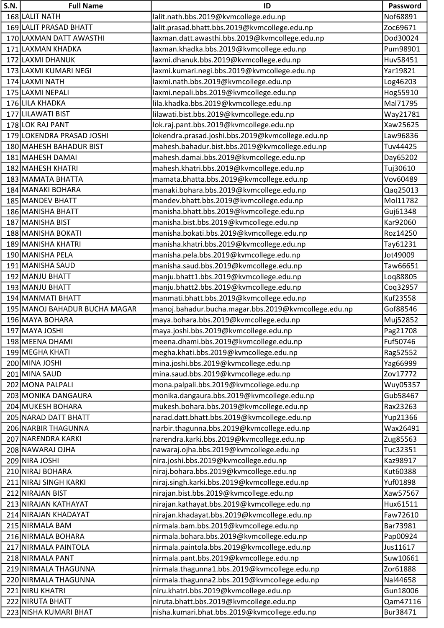| <b>S.N.</b> | <b>Full Name</b>              | ID                                                   | Password |
|-------------|-------------------------------|------------------------------------------------------|----------|
|             | 168 LALIT NATH                | lalit.nath.bbs.2019@kvmcollege.edu.np                | Nof68891 |
|             | 169 LALIT PRASAD BHATT        | lalit.prasad.bhatt.bbs.2019@kvmcollege.edu.np        | Zoc69671 |
|             | 170 LAXMAN DATT AWASTHI       | laxman.datt.awasthi.bbs.2019@kvmcollege.edu.np       | Dod30024 |
|             | 171 LAXMAN KHADKA             | laxman.khadka.bbs.2019@kvmcollege.edu.np             | Pum98901 |
|             | 172 LAXMI DHANUK              | laxmi.dhanuk.bbs.2019@kvmcollege.edu.np              | Huv58451 |
|             | 173 LAXMI KUMARI NEGI         | laxmi.kumari.negi.bbs.2019@kvmcollege.edu.np         | Yar19821 |
|             | 174 LAXMI NATH                | laxmi.nath.bbs.2019@kvmcollege.edu.np                | Log46203 |
|             | 175 LAXMI NEPALI              | laxmi.nepali.bbs.2019@kvmcollege.edu.np              | Hog55910 |
|             | 176 LILA KHADKA               | lila.khadka.bbs.2019@kvmcollege.edu.np               | Mal71795 |
|             | 177 LILAWATI BIST             | lilawati.bist.bbs.2019@kvmcollege.edu.np             | Way21781 |
|             | 178 LOK RAJ PANT              | lok.raj.pant.bbs.2019@kvmcollege.edu.np              | Xaw25625 |
|             | 179 LOKENDRA PRASAD JOSHI     | lokendra.prasad.joshi.bbs.2019@kvmcollege.edu.np     | Law96836 |
|             | 180 MAHESH BAHADUR BIST       | mahesh.bahadur.bist.bbs.2019@kvmcollege.edu.np       | Tuv44425 |
|             | 181 MAHESH DAMAI              | mahesh.damai.bbs.2019@kvmcollege.edu.np              | Day65202 |
|             | 182 MAHESH KHATRI             | mahesh.khatri.bbs.2019@kvmcollege.edu.np             | Tuj30610 |
|             | 183 MAMATA BHATTA             | mamata.bhatta.bbs.2019@kvmcollege.edu.np             | Vov60489 |
|             | 184 MANAKI BOHARA             | manaki.bohara.bbs.2019@kvmcollege.edu.np             | Qaq25013 |
|             | 185 MANDEV BHATT              | mandev.bhatt.bbs.2019@kvmcollege.edu.np              | Mol11782 |
|             | 186 MANISHA BHATT             | manisha.bhatt.bbs.2019@kvmcollege.edu.np             | Guj61348 |
|             | 187 MANISHA BIST              | manisha.bist.bbs.2019@kvmcollege.edu.np              | Kar92060 |
|             | 188 MANISHA BOKATI            | manisha.bokati.bbs.2019@kvmcollege.edu.np            | Roz14250 |
|             | 189 MANISHA KHATRI            | manisha.khatri.bbs.2019@kvmcollege.edu.np            | Tay61231 |
|             | 190 MANISHA PELA              | manisha.pela.bbs.2019@kvmcollege.edu.np              | Jot49009 |
|             | 191 MANISHA SAUD              | manisha.saud.bbs.2019@kvmcollege.edu.np              | Taw66651 |
|             | 192 MANJU BHATT               | manju.bhatt1.bbs.2019@kvmcollege.edu.np              | Loq88805 |
|             | 193 MANJU BHATT               | manju.bhatt2.bbs.2019@kvmcollege.edu.np              | Coq32957 |
|             | 194 MANMATI BHATT             | manmati.bhatt.bbs.2019@kvmcollege.edu.np             | Kuf23558 |
|             | 195 MANOJ BAHADUR BUCHA MAGAR | manoj.bahadur.bucha.magar.bbs.2019@kvmcollege.edu.np | Gof88546 |
|             | 196 MAYA BOHARA               | maya.bohara.bbs.2019@kvmcollege.edu.np               | Muj52852 |
|             | 197 MAYA JOSHI                | maya.joshi.bbs.2019@kvmcollege.edu.np                | Pag21708 |
|             | 198 MEENA DHAMI               | meena.dhami.bbs.2019@kvmcollege.edu.np               | Fuf50746 |
|             | 199 MEGHA KHATI               | megha.khati.bbs.2019@kvmcollege.edu.np               | Rag52552 |
|             | 200 MINA JOSHI                | mina.joshi.bbs.2019@kvmcollege.edu.np                | Yag66999 |
|             | 201 MINA SAUD                 | mina.saud.bbs.2019@kvmcollege.edu.np                 | Zov17772 |
|             | 202 MONA PALPALI              | mona.palpali.bbs.2019@kvmcollege.edu.np              | Wuy05357 |
|             | 203 MONIKA DANGAURA           | monika.dangaura.bbs.2019@kvmcollege.edu.np           | Gub58467 |
|             | 204 MUKESH BOHARA             | mukesh.bohara.bbs.2019@kvmcollege.edu.np             | Rax23263 |
|             | 205 NARAD DATT BHATT          | narad.datt.bhatt.bbs.2019@kvmcollege.edu.np          | Yup21366 |
|             | 206 NARBIR THAGUNNA           | narbir.thagunna.bbs.2019@kvmcollege.edu.np           | Wax26491 |
|             | 207 NARENDRA KARKI            | narendra.karki.bbs.2019@kvmcollege.edu.np            | Zug85563 |
|             | 208 NAWARAJ OJHA              | nawaraj.ojha.bbs.2019@kvmcollege.edu.np              | Tuc32351 |
|             | 209 NIRA JOSHI                | nira.joshi.bbs.2019@kvmcollege.edu.np                | Kaz98917 |
|             | 210 NIRAJ BOHARA              | niraj.bohara.bbs.2019@kvmcollege.edu.np              | Kut60388 |
|             | 211 NIRAJ SINGH KARKI         | niraj.singh.karki.bbs.2019@kvmcollege.edu.np         | Yuf01898 |
|             | 212 NIRAJAN BIST              | nirajan.bist.bbs.2019@kvmcollege.edu.np              | Xaw57567 |
|             | 213 NIRAJAN KATHAYAT          | nirajan.kathayat.bbs.2019@kvmcollege.edu.np          | Hux61511 |
|             | 214 NIRAJAN KHADAYAT          | nirajan.khadayat.bbs.2019@kvmcollege.edu.np          | Faw72610 |
|             | 215 NIRMALA BAM               | nirmala.bam.bbs.2019@kvmcollege.edu.np               | Bar73981 |
|             | 216 NIRMALA BOHARA            | nirmala.bohara.bbs.2019@kvmcollege.edu.np            | Pap00924 |
|             | 217 NIRMALA PAINTOLA          | nirmala.paintola.bbs.2019@kvmcollege.edu.np          | Jus11617 |
|             | 218 NIRMALA PANT              | nirmala.pant.bbs.2019@kvmcollege.edu.np              | Suw10661 |
|             | 219 NIRMALA THAGUNNA          | nirmala.thagunna1.bbs.2019@kvmcollege.edu.np         | Zor61888 |
|             | 220 NIRMALA THAGUNNA          | nirmala.thagunna2.bbs.2019@kvmcollege.edu.np         | Nal44658 |
|             | 221 NIRU KHATRI               | niru.khatri.bbs.2019@kvmcollege.edu.np               | Gun18006 |
|             | 222 NIRUTA BHATT              | niruta.bhatt.bbs.2019@kvmcollege.edu.np              | Qam47116 |
|             | 223 NISHA KUMARI BHAT         | nisha.kumari.bhat.bbs.2019@kvmcollege.edu.np         | Bur38471 |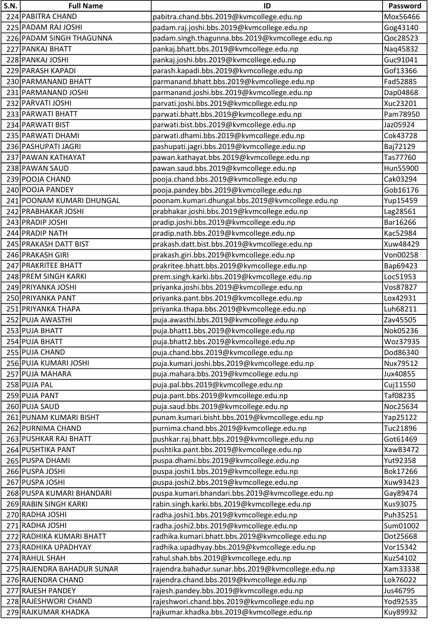| <b>S.N.</b> | <b>Full Name</b>                   | ID                                                                                | Password             |
|-------------|------------------------------------|-----------------------------------------------------------------------------------|----------------------|
|             | 224 PABITRA CHAND                  | pabitra.chand.bbs.2019@kvmcollege.edu.np                                          | Mox56466             |
|             | 225 PADAM RAJ JOSHI                | padam.raj.joshi.bbs.2019@kvmcollege.edu.np                                        | Gog43140             |
|             | 226 PADAM SINGH THAGUNNA           | padam.singh.thagunna.bbs.2019@kvmcollege.edu.np                                   | Qoc28523             |
|             | 227 PANKAJ BHATT                   | pankaj.bhatt.bbs.2019@kvmcollege.edu.np                                           | Naq45832             |
|             | 228 PANKAJ JOSHI                   | pankaj.joshi.bbs.2019@kvmcollege.edu.np                                           | Guc91041             |
|             | 229 PARASH KAPADI                  | parash.kapadi.bbs.2019@kvmcollege.edu.np                                          | Gof13366             |
|             | 230 PARMANAND BHATT                | parmanand.bhatt.bbs.2019@kvmcollege.edu.np                                        | Fad52885             |
|             | 231 PARMANAND JOSHI                | parmanand.joshi.bbs.2019@kvmcollege.edu.np                                        | Dap04868             |
|             | 232 PARVATI JOSHI                  | parvati.joshi.bbs.2019@kvmcollege.edu.np                                          | Xuc23201             |
|             | 233 PARWATI BHATT                  | parwati.bhatt.bbs.2019@kvmcollege.edu.np                                          | Pam78950             |
|             | 234 PARWATI BIST                   | parwati.bist.bbs.2019@kvmcollege.edu.np                                           | Jaz05924             |
|             | 235 PARWATI DHAMI                  | parwati.dhami.bbs.2019@kvmcollege.edu.np                                          | Cok43728             |
|             | 236 PASHUPATI JAGRI                | pashupati.jagri.bbs.2019@kvmcollege.edu.np                                        | Baj72129             |
|             | 237 PAWAN KATHAYAT                 | pawan.kathayat.bbs.2019@kvmcollege.edu.np                                         | Tas77760             |
|             | 238 PAWAN SAUD                     | pawan.saud.bbs.2019@kvmcollege.edu.np                                             | Hun55900             |
|             | 239 POOJA CHAND                    | pooja.chand.bbs.2019@kvmcollege.edu.np                                            | Cak03294             |
|             | 240 POOJA PANDEY                   | pooja.pandey.bbs.2019@kvmcollege.edu.np                                           | Gob16176             |
|             | 241 POONAM KUMARI DHUNGAL          | poonam.kumari.dhungal.bbs.2019@kvmcollege.edu.np                                  | Yup15459             |
|             | 242 PRABHAKAR JOSHI                | prabhakar.joshi.bbs.2019@kvmcollege.edu.np                                        | Lag28561             |
|             | 243 PRADIP JOSHI                   | pradip.joshi.bbs.2019@kvmcollege.edu.np                                           | Bar16266             |
|             | 244 PRADIP NATH                    | pradip.nath.bbs.2019@kvmcollege.edu.np                                            | Kac52984             |
|             | 245 PRAKASH DATT BIST              | prakash.datt.bist.bbs.2019@kvmcollege.edu.np                                      | Xuw48429             |
|             | 246 PRAKASH GIRI                   | prakash.giri.bbs.2019@kvmcollege.edu.np                                           | Von00258             |
|             | 247 PRAKRITEE BHATT                | prakritee.bhatt.bbs.2019@kvmcollege.edu.np                                        | Bap69423             |
|             | 248 PREM SINGH KARKI               | prem.singh.karki.bbs.2019@kvmcollege.edu.np                                       | Loc51953             |
|             | 249 PRIYANKA JOSHI                 | priyanka.joshi.bbs.2019@kvmcollege.edu.np                                         | Vos87827             |
|             | 250 PRIYANKA PANT                  | priyanka.pant.bbs.2019@kvmcollege.edu.np                                          | Lox42931             |
|             | 251 PRIYANKA THAPA                 | priyanka.thapa.bbs.2019@kvmcollege.edu.np                                         | Luh68211             |
|             | 252 PUJA AWASTHI<br>253 PUJA BHATT | puja.awasthi.bbs.2019@kvmcollege.edu.np<br>puja.bhatt1.bbs.2019@kvmcollege.edu.np | Zav45505<br>Nok05236 |
|             | 254 PUJA BHATT                     |                                                                                   | Woz37935             |
|             | 255 PUJA CHAND                     | puja.bhatt2.bbs.2019@kvmcollege.edu.np<br>puja.chand.bbs.2019@kvmcollege.edu.np   | Dod86340             |
|             | 256 PUJA KUMARI JOSHI              | puja.kumari.joshi.bbs.2019@kvmcollege.edu.np                                      | Nux79512             |
|             | 257 PUJA MAHARA                    | puja.mahara.bbs.2019@kvmcollege.edu.np                                            | Jux40855             |
|             | 258 PUJA PAL                       | puja.pal.bbs.2019@kvmcollege.edu.np                                               | Cuj11550             |
|             | 259 PUJA PANT                      | puja.pant.bbs.2019@kvmcollege.edu.np                                              | Taf08235             |
|             | 260 PUJA SAUD                      | puja.saud.bbs.2019@kvmcollege.edu.np                                              | Noc25634             |
|             | 261 PUNAM KUMARI BISHT             | punam.kumari.bisht.bbs.2019@kvmcollege.edu.np                                     | Yap25122             |
|             | 262 PURNIMA CHAND                  | purnima.chand.bbs.2019@kvmcollege.edu.np                                          | Tuc21896             |
|             | 263 PUSHKAR RAJ BHATT              | pushkar.raj.bhatt.bbs.2019@kvmcollege.edu.np                                      | Got61469             |
|             | 264 PUSHTIKA PANT                  | pushtika.pant.bbs.2019@kvmcollege.edu.np                                          | Xaw83472             |
|             | 265 PUSPA DHAMI                    | puspa.dhami.bbs.2019@kvmcollege.edu.np                                            | Yut92358             |
|             | 266 PUSPA JOSHI                    | puspa.joshi1.bbs.2019@kvmcollege.edu.np                                           | Bok17266             |
|             | 267 PUSPA JOSHI                    | puspa.joshi2.bbs.2019@kvmcollege.edu.np                                           | Xuw93423             |
|             | 268 PUSPA KUMARI BHANDARI          | puspa.kumari.bhandari.bbs.2019@kvmcollege.edu.np                                  | Gay89474             |
|             | 269 RABIN SINGH KARKI              | rabin.singh.karki.bbs.2019@kvmcollege.edu.np                                      | Kus93075             |
|             | 270 RADHA JOSHI                    | radha.joshi1.bbs.2019@kvmcollege.edu.np                                           | Puh35251             |
|             | 271 RADHA JOSHI                    | radha.joshi2.bbs.2019@kvmcollege.edu.np                                           | Sum01002             |
|             | 272 RADHIKA KUMARI BHATT           | radhika.kumari.bhatt.bbs.2019@kvmcollege.edu.np                                   | Dot25668             |
|             | 273 RADHIKA UPADHYAY               | radhika.upadhyay.bbs.2019@kvmcollege.edu.np                                       | Vor15342             |
|             | 274 RAHUL SHAH                     | rahul.shah.bbs.2019@kvmcollege.edu.np                                             | Kuz54102             |
|             | 275 RAJENDRA BAHADUR SUNAR         | rajendra.bahadur.sunar.bbs.2019@kvmcollege.edu.np                                 | Xam33338             |
|             | 276 RAJENDRA CHAND                 | rajendra.chand.bbs.2019@kvmcollege.edu.np                                         | Lok76022             |
|             | 277 RAJESH PANDEY                  | rajesh.pandey.bbs.2019@kvmcollege.edu.np                                          | Jus46795             |
|             | 278 RAJESHWORI CHAND               | rajeshwori.chand.bbs.2019@kvmcollege.edu.np                                       | Yod92535             |
|             | 279 RAJKUMAR KHADKA                | rajkumar.khadka.bbs.2019@kvmcollege.edu.np                                        | Kuy89932             |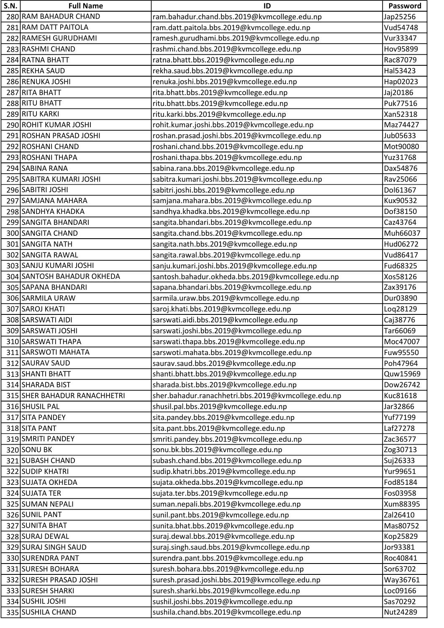| <b>S.N.</b> | <b>Full Name</b>                     | ID                                                                                 | Password             |
|-------------|--------------------------------------|------------------------------------------------------------------------------------|----------------------|
|             | 280 RAM BAHADUR CHAND                | ram.bahadur.chand.bbs.2019@kvmcollege.edu.np                                       | Jap25256             |
|             | 281 RAM DATT PAITOLA                 | ram.datt.paitola.bbs.2019@kvmcollege.edu.np                                        | Vud54748             |
|             | 282 RAMESH GURUDHAMI                 | ramesh.gurudhami.bbs.2019@kvmcollege.edu.np                                        | Vur33347             |
|             | 283 RASHMI CHAND                     | rashmi.chand.bbs.2019@kvmcollege.edu.np                                            | Hov95899             |
|             | 284 RATNA BHATT                      | ratna.bhatt.bbs.2019@kvmcollege.edu.np                                             | Rac87079             |
|             | 285 REKHA SAUD                       | rekha.saud.bbs.2019@kvmcollege.edu.np                                              | Hal53423             |
|             | 286 RENUKA JOSHI                     | renuka.joshi.bbs.2019@kvmcollege.edu.np                                            | Hap02023             |
|             | 287 RITA BHATT                       | rita.bhatt.bbs.2019@kvmcollege.edu.np                                              | Jaj20186             |
|             | 288 RITU BHATT                       | ritu.bhatt.bbs.2019@kvmcollege.edu.np                                              | Puk77516             |
|             | 289 RITU KARKI                       | ritu.karki.bbs.2019@kvmcollege.edu.np                                              | Xan52318             |
|             | 290 ROHIT KUMAR JOSHI                | rohit.kumar.joshi.bbs.2019@kvmcollege.edu.np                                       | Maz74427             |
|             | 291 ROSHAN PRASAD JOSHI              | roshan.prasad.joshi.bbs.2019@kvmcollege.edu.np                                     | Jub05633             |
|             | 292 ROSHANI CHAND                    | roshani.chand.bbs.2019@kvmcollege.edu.np                                           | Mot90080             |
|             | 293 ROSHANI THAPA                    | roshani.thapa.bbs.2019@kvmcollege.edu.np                                           | Yuz31768             |
|             | 294 SABINA RANA                      | sabina.rana.bbs.2019@kvmcollege.edu.np                                             | Dax54876             |
|             | 295 SABITRA KUMARI JOSHI             | sabitra.kumari.joshi.bbs.2019@kvmcollege.edu.np                                    | Rav25066             |
|             | 296 SABITRI JOSHI                    | sabitri.joshi.bbs.2019@kvmcollege.edu.np                                           | Dol61367             |
|             | 297 SAMJANA MAHARA                   | samjana.mahara.bbs.2019@kvmcollege.edu.np                                          | Kux90532             |
|             | 298 SANDHYA KHADKA                   | sandhya.khadka.bbs.2019@kvmcollege.edu.np                                          | Dof38150             |
|             | 299 SANGITA BHANDARI                 | sangita.bhandari.bbs.2019@kvmcollege.edu.np                                        | Caz43764             |
|             | 300 SANGITA CHAND                    | sangita.chand.bbs.2019@kvmcollege.edu.np                                           | Muh66037             |
|             | 301 SANGITA NATH                     | sangita.nath.bbs.2019@kvmcollege.edu.np                                            | Hud06272             |
|             | 302 SANGITA RAWAL                    | sangita.rawal.bbs.2019@kvmcollege.edu.np                                           | Vud86417             |
|             | 303 SANJU KUMARI JOSHI               | sanju.kumari.joshi.bbs.2019@kvmcollege.edu.np                                      | Fud68325             |
|             | 304 SANTOSH BAHADUR OKHEDA           | santosh.bahadur.okheda.bbs.2019@kvmcollege.edu.np                                  | Xos58126             |
|             | 305 SAPANA BHANDARI                  | sapana.bhandari.bbs.2019@kvmcollege.edu.np                                         | Zax39176             |
|             | 306 SARMILA URAW                     | sarmila.uraw.bbs.2019@kvmcollege.edu.np                                            | Dur03890             |
|             | 307 SAROJ KHATI<br>308 SARSWATI AIDI | saroj.khati.bbs.2019@kvmcollege.edu.np<br>sarswati.aidi.bbs.2019@kvmcollege.edu.np | Loq28129             |
|             | 309 SARSWATI JOSHI                   | sarswati.joshi.bbs.2019@kvmcollege.edu.np                                          | Caj38776<br>Tar66069 |
|             | 310 SARSWATI THAPA                   | sarswati.thapa.bbs.2019@kvmcollege.edu.np                                          | Moc47007             |
|             | 311 SARSWOTI MAHATA                  | sarswoti.mahata.bbs.2019@kvmcollege.edu.np                                         | Fuw95550             |
|             | 312 SAURAV SAUD                      | saurav.saud.bbs.2019@kvmcollege.edu.np                                             | Poh47964             |
|             | 313 SHANTI BHATT                     | shanti.bhatt.bbs.2019@kvmcollege.edu.np                                            | Quw15969             |
|             | 314 SHARADA BIST                     | sharada.bist.bbs.2019@kvmcollege.edu.np                                            | Dow26742             |
|             | 315 SHER BAHADUR RANACHHETRI         | sher.bahadur.ranachhetri.bbs.2019@kvmcollege.edu.np                                | Kuc81618             |
|             | 316 SHUSIL PAL                       | shusil.pal.bbs.2019@kvmcollege.edu.np                                              | Jar32866             |
|             | 317 SITA PANDEY                      | sita.pandey.bbs.2019@kvmcollege.edu.np                                             | Yuf77199             |
|             | 318 SITA PANT                        | sita.pant.bbs.2019@kvmcollege.edu.np                                               | Laf27278             |
|             | 319 SMRITI PANDEY                    | smriti.pandey.bbs.2019@kvmcollege.edu.np                                           | Zac36577             |
|             | 320 SONU BK                          | sonu.bk.bbs.2019@kvmcollege.edu.np                                                 | Zog30713             |
|             | 321 SUBASH CHAND                     | subash.chand.bbs.2019@kvmcollege.edu.np                                            | Suj26333             |
|             | 322 SUDIP KHATRI                     | sudip.khatri.bbs.2019@kvmcollege.edu.np                                            | Yur99651             |
|             | 323 SUJATA OKHEDA                    | sujata.okheda.bbs.2019@kvmcollege.edu.np                                           | Fod85184             |
|             | 324 SUJATA TER                       | sujata.ter.bbs.2019@kvmcollege.edu.np                                              | Fos03958             |
|             | 325 SUMAN NEPALI                     | suman.nepali.bbs.2019@kvmcollege.edu.np                                            | Xum88395             |
|             | 326 SUNIL PANT                       | sunil.pant.bbs.2019@kvmcollege.edu.np                                              | Zal26410             |
|             | 327 SUNITA BHAT                      | sunita.bhat.bbs.2019@kvmcollege.edu.np                                             | Mas80752             |
|             | 328 SURAJ DEWAL                      | suraj.dewal.bbs.2019@kvmcollege.edu.np                                             | Kop25829             |
|             | 329 SURAJ SINGH SAUD                 | suraj.singh.saud.bbs.2019@kvmcollege.edu.np                                        | Jor93381             |
|             | 330 SURENDRA PANT                    | surendra.pant.bbs.2019@kvmcollege.edu.np                                           | Roc40841             |
|             | 331 SURESH BOHARA                    | suresh.bohara.bbs.2019@kvmcollege.edu.np                                           | Sor63702             |
|             | 332 SURESH PRASAD JOSHI              | suresh.prasad.joshi.bbs.2019@kvmcollege.edu.np                                     | Way36761             |
|             | 333 SURESH SHARKI                    | suresh.sharki.bbs.2019@kvmcollege.edu.np                                           | Loc09166             |
|             | 334 SUSHIL JOSHI                     | sushil.joshi.bbs.2019@kvmcollege.edu.np                                            | Sas70292             |
|             | 335 SUSHILA CHAND                    | sushila.chand.bbs.2019@kvmcollege.edu.np                                           | Nut24289             |